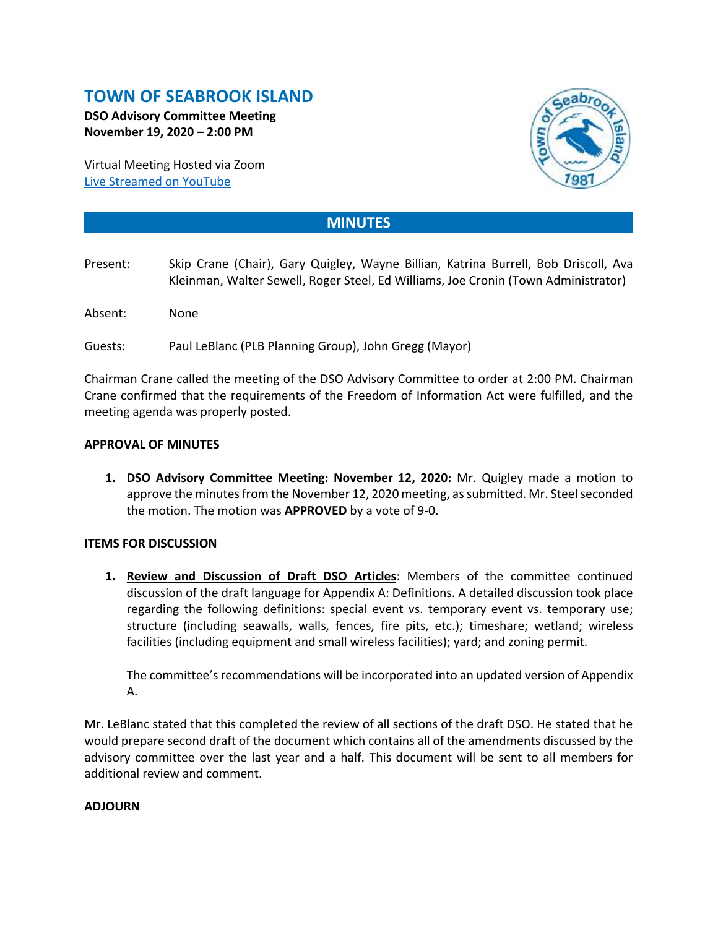# **TOWN OF SEABROOK ISLAND**

**DSO Advisory Committee Meeting November 19, 2020 – 2:00 PM**

Virtual Meeting Hosted via Zoom [Live Streamed on](https://www.youtube.com/channel/UCIkF87knEApHD1q0kGlaGZg) YouTube



## **MINUTES**

- Present: Skip Crane (Chair), Gary Quigley, Wayne Billian, Katrina Burrell, Bob Driscoll, Ava Kleinman, Walter Sewell, Roger Steel, Ed Williams, Joe Cronin (Town Administrator)
- Absent: None
- Guests: Paul LeBlanc (PLB Planning Group), John Gregg (Mayor)

Chairman Crane called the meeting of the DSO Advisory Committee to order at 2:00 PM. Chairman Crane confirmed that the requirements of the Freedom of Information Act were fulfilled, and the meeting agenda was properly posted.

### **APPROVAL OF MINUTES**

**1. DSO Advisory Committee Meeting: November 12, 2020:** Mr. Quigley made a motion to approve the minutes from the November 12, 2020 meeting, as submitted. Mr. Steel seconded the motion. The motion was **APPROVED** by a vote of 9-0.

### **ITEMS FOR DISCUSSION**

**1. Review and Discussion of Draft DSO Articles**: Members of the committee continued discussion of the draft language for Appendix A: Definitions. A detailed discussion took place regarding the following definitions: special event vs. temporary event vs. temporary use; structure (including seawalls, walls, fences, fire pits, etc.); timeshare; wetland; wireless facilities (including equipment and small wireless facilities); yard; and zoning permit.

The committee's recommendations will be incorporated into an updated version of Appendix A.

Mr. LeBlanc stated that this completed the review of all sections of the draft DSO. He stated that he would prepare second draft of the document which contains all of the amendments discussed by the advisory committee over the last year and a half. This document will be sent to all members for additional review and comment.

#### **ADJOURN**